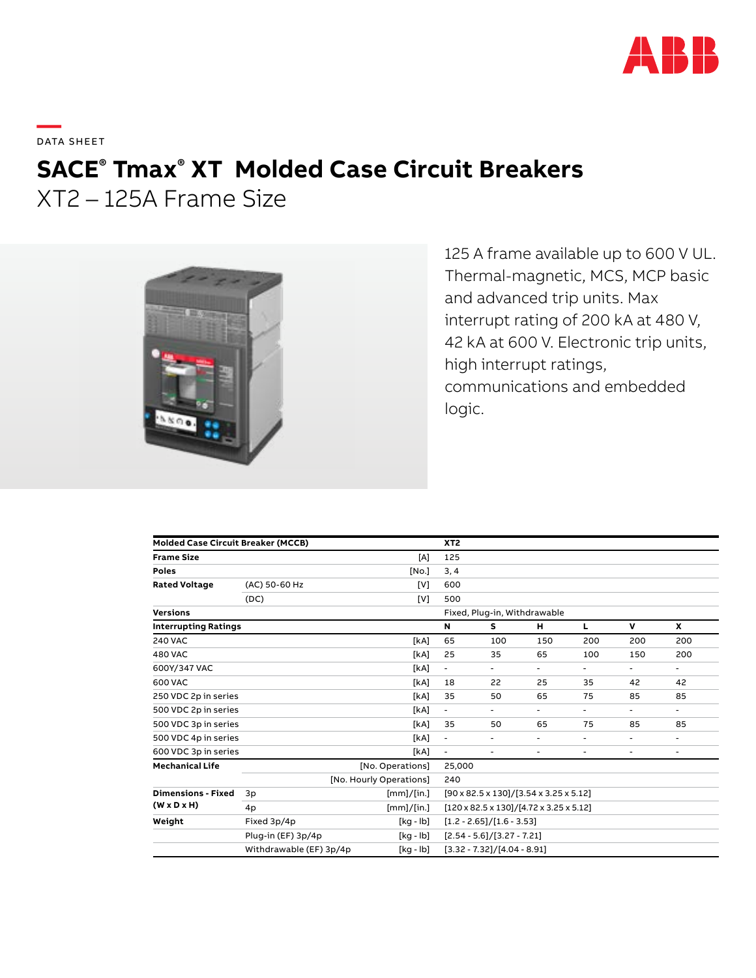

**—**  DATA SHEET

# **SACE® Tmax® XT Molded Case Circuit Breakers**

XT2 – 125A Frame Size



125 A frame available up to 600 V UL. Thermal-magnetic, MCS, MCP basic and advanced trip units. Max interrupt rating of 200 kA at 480 V, 42 kA at 600 V. Electronic trip units, high interrupt ratings, communications and embedded logic.

| <b>Molded Case Circuit Breaker (MCCB)</b>            |                                |            | XT <sub>2</sub>                                               |                          |                          |                |                          |                          |  |
|------------------------------------------------------|--------------------------------|------------|---------------------------------------------------------------|--------------------------|--------------------------|----------------|--------------------------|--------------------------|--|
| <b>Frame Size</b>                                    |                                | [A]        | 125                                                           |                          |                          |                |                          |                          |  |
| <b>Poles</b>                                         |                                | [No.]      | 3, 4                                                          |                          |                          |                |                          |                          |  |
| <b>Rated Voltage</b>                                 | (AC) 50-60 Hz                  | [V]        | 600                                                           |                          |                          |                |                          |                          |  |
|                                                      | (DC)                           | [V]        | 500                                                           |                          |                          |                |                          |                          |  |
| <b>Versions</b>                                      |                                |            | Fixed, Plug-in, Withdrawable                                  |                          |                          |                |                          |                          |  |
| <b>Interrupting Ratings</b>                          |                                |            | N                                                             | s                        | н                        | L              | v                        | x                        |  |
| <b>240 VAC</b>                                       |                                | [kA]       | 65                                                            | 100                      | 150                      | 200            | 200                      | 200                      |  |
| <b>480 VAC</b>                                       |                                | [kA]       | 25                                                            | 35                       | 65                       | 100            | 150                      | 200                      |  |
| 600Y/347 VAC                                         |                                | [kA]       | ٠.                                                            | $\overline{\phantom{0}}$ | $\blacksquare$           | ۰.             | ٠                        | $\blacksquare$           |  |
| 600 VAC                                              |                                | [kA]       | 18                                                            | 22                       | 25                       | 35             | 42                       | 42                       |  |
| 250 VDC 2p in series                                 |                                | [kA]       | 35                                                            | 50                       | 65                       | 75             | 85                       | 85                       |  |
| 500 VDC 2p in series                                 |                                | [kA]       | $\blacksquare$                                                | $\blacksquare$           | $\overline{\phantom{a}}$ | $\blacksquare$ | $\overline{\phantom{a}}$ | $\blacksquare$           |  |
| 500 VDC 3p in series                                 |                                | [kA]       | 35                                                            | 50                       | 65                       | 75             | 85                       | 85                       |  |
| 500 VDC 4p in series                                 |                                | [kA]       | $\overline{\phantom{a}}$                                      | $\overline{\phantom{0}}$ | ۰                        | ٠              | ۰                        | $\overline{\phantom{a}}$ |  |
| 600 VDC 3p in series                                 |                                | [kA]       | $\blacksquare$                                                | Ξ.                       | ۰                        | ۰              | ۰                        | $\overline{\phantom{a}}$ |  |
| <b>Mechanical Life</b>                               | [No. Operations]               |            |                                                               | 25,000                   |                          |                |                          |                          |  |
|                                                      | [No. Hourly Operations]<br>240 |            |                                                               |                          |                          |                |                          |                          |  |
| <b>Dimensions - Fixed</b><br>$(W \times D \times H)$ | 3p                             | [mm]/[in.] | $[90 \times 82.5 \times 130]/[3.54 \times 3.25 \times 5.12]$  |                          |                          |                |                          |                          |  |
|                                                      | 4p                             | [mm]/[in.] | $[120 \times 82.5 \times 130]/[4.72 \times 3.25 \times 5.12]$ |                          |                          |                |                          |                          |  |
| Weight                                               | Fixed 3p/4p                    | [kg - lb]  | $[1.2 - 2.65]/[1.6 - 3.53]$                                   |                          |                          |                |                          |                          |  |
|                                                      | Plug-in (EF) 3p/4p             | [kg - lb]  | $[2.54 - 5.6]/[3.27 - 7.21]$                                  |                          |                          |                |                          |                          |  |
|                                                      | Withdrawable (EF) 3p/4p        | [kg - lb]  | $[3.32 - 7.32]/[4.04 - 8.91]$                                 |                          |                          |                |                          |                          |  |